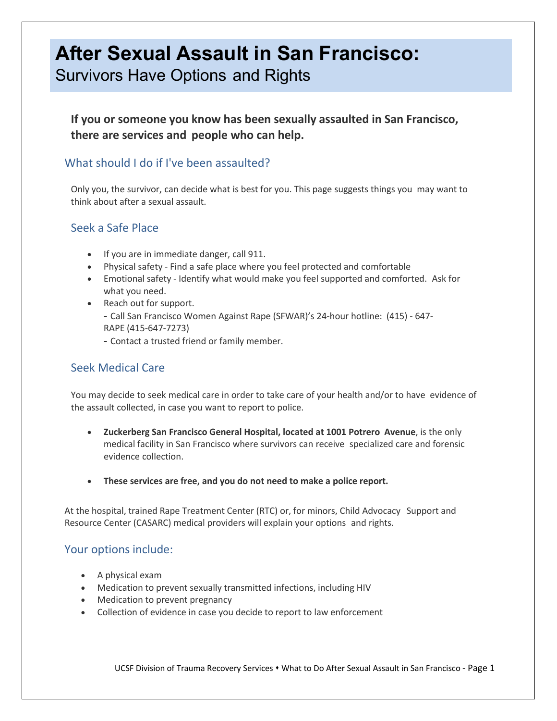# **After Sexual Assault in San Francisco:**

Survivors Have Options and Rights

**If you or someone you know has been sexually assaulted in San Francisco, there are services and people who can help.**

# What should I do if I've been assaulted?

Only you, the survivor, can decide what is best for you. This page suggests things you may want to think about after a sexual assault.

## Seek a Safe Place

- If you are in immediate danger, call 911.
- Physical safety Find a safe place where you feel protected and comfortable
- Emotional safety Identify what would make you feel supported and comforted. Ask for what you need.
- Reach out for support.
	- Call San Francisco Women Against Rape (SFWAR)'s 24-hour hotline: (415) 647- RAPE (415-647-7273)
	- Contact a trusted friend or family member.

# Seek Medical Care

You may decide to seek medical care in order to take care of your health and/or to have evidence of the assault collected, in case you want to report to police.

- **Zuckerberg San Francisco General Hospital, located at 1001 Potrero Avenue**, is the only medical facility in San Francisco where survivors can receive specialized care and forensic evidence collection.
- **These services are free, and you do not need to make a police report.**

At the hospital, trained Rape Treatment Center (RTC) or, for minors, Child Advocacy Support and Resource Center (CASARC) medical providers will explain your options and rights.

## Your options include:

- A physical exam
- Medication to prevent sexually transmitted infections, including HIV
- Medication to prevent pregnancy
- Collection of evidence in case you decide to report to law enforcement

UCSF Division of Trauma Recovery Services • What to Do After Sexual Assault in San Francisco - Page 1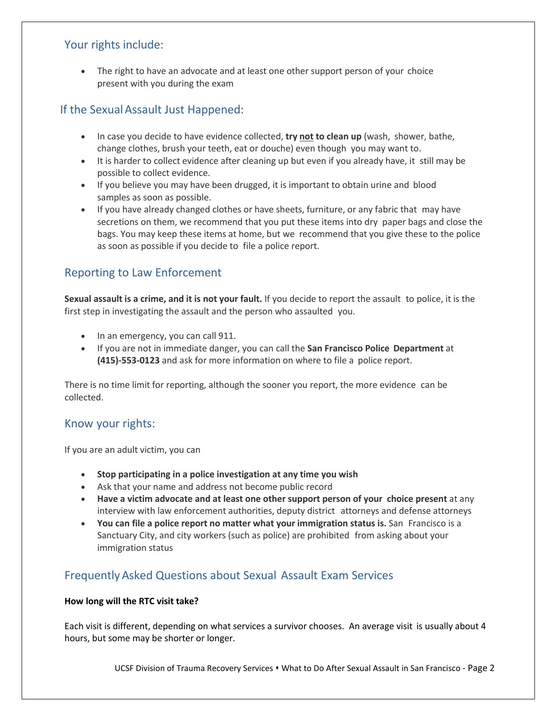## Your rights include:

The right to have an advocate and at least one other support person of your choice present with you during the exam

# If the Sexual Assault Just Happened:

- In case you decide to have evidence collected, **try not to clean up** (wash, shower, bathe, change clothes, brush your teeth, eat or douche) even though you may want to.
- It is harder to collect evidence after cleaning up but even if you already have, it still may be possible to collect evidence.
- If you believe you may have been drugged, it is important to obtain urine and blood samples as soon as possible.
- If you have already changed clothes or have sheets, furniture, or any fabric that may have secretions on them, we recommend that you put these items into dry paper bags and close the bags. You may keep these items at home, but we recommend that you give these to the police as soon as possible if you decide to file a police report.

# Reporting to Law Enforcement

**Sexual assault is a crime, and it is not your fault.** If you decide to report the assault to police, it is the first step in investigating the assault and the person who assaulted you.

- In an emergency, you can call 911.
- If you are not in immediate danger, you can call the **San Francisco Police Department** at **(415)-553-0123** and ask for more information on where to file a police report.

There is no time limit for reporting, although the sooner you report, the more evidence can be collected.

## Know your rights:

If you are an adult victim, you can

- **Stop participating in a police investigation at any time you wish**
- Ask that your name and address not become public record
- **Have a victim advocate and at least one other support person of your choice present** at any interview with law enforcement authorities, deputy district attorneys and defense attorneys
- **You can file a police report no matter what your immigration status is.** San Francisco is a Sanctuary City, and city workers (such as police) are prohibited from asking about your immigration status

# FrequentlyAsked Questions about Sexual Assault Exam Services

## **How long will the RTC visit take?**

Each visit is different, depending on what services a survivor chooses. An average visit is usually about 4 hours, but some may be shorter or longer.

UCSF Division of Trauma Recovery Services • What to Do After Sexual Assault in San Francisco - Page 2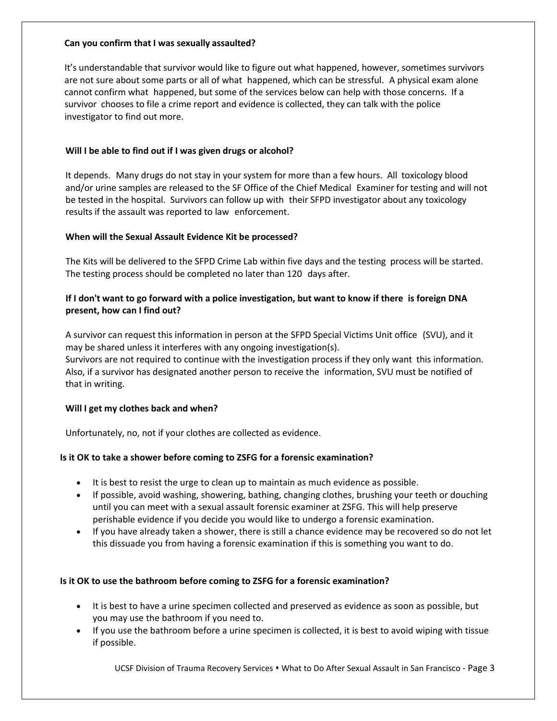#### **Can you confirm that I was sexually assaulted?**

It's understandable that survivor would like to figure out what happened, however, sometimes survivors are not sure about some parts or all of what happened, which can be stressful. A physical exam alone cannot confirm what happened, but some of the services below can help with those concerns. If a survivor chooses to file a crime report and evidence is collected, they can talk with the police investigator to find out more.

#### **Will I be able to find out if I was given drugs or alcohol?**

It depends. Many drugs do not stay in your system for more than a few hours. All toxicology blood and/or urine samples are released to the SF Office of the Chief Medical Examiner for testing and will not be tested in the hospital. Survivors can follow up with their SFPD investigator about any toxicology results if the assault was reported to law enforcement.

#### **When will the Sexual Assault Evidence Kit be processed?**

The Kits will be delivered to the SFPD Crime Lab within five days and the testing process will be started. The testing process should be completed no later than 120 days after.

#### **If I don't want to go forward with a police investigation, but want to know if there is foreign DNA present, how can I find out?**

A survivor can request this information in person at the SFPD Special Victims Unit office (SVU), and it may be shared unless it interferes with any ongoing investigation(s). Survivors are not required to continue with the investigation process if they only want this information. Also, if a survivor has designated another person to receive the information, SVU must be notified of that in writing.

#### **Will I get my clothes back and when?**

Unfortunately, no, not if your clothes are collected as evidence.

#### **Is it OK to take a shower before coming to ZSFG for a forensic examination?**

- It is best to resist the urge to clean up to maintain as much evidence as possible.
- If possible, avoid washing, showering, bathing, changing clothes, brushing your teeth or douching until you can meet with a sexual assault forensic examiner at ZSFG. This will help preserve perishable evidence if you decide you would like to undergo a forensic examination.
- If you have already taken a shower, there is still a chance evidence may be recovered so do not let this dissuade you from having a forensic examination if this is something you want to do.

#### **Is it OK to use the bathroom before coming to ZSFG for a forensic examination?**

- It is best to have a urine specimen collected and preserved as evidence as soon as possible, but you may use the bathroom if you need to.
- If you use the bathroom before a urine specimen is collected, it is best to avoid wiping with tissue if possible.

UCSF Division of Trauma Recovery Services What to Do After Sexual Assault in San Francisco - Page 3